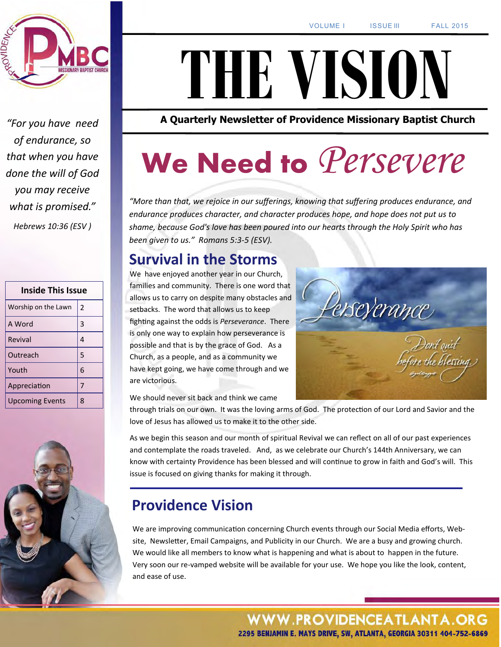

*"For you have need of endurance, so that when you have done the will of God you may receive what is promised." Hebrews 10:36 (ESV )*

| <b>Inside This Issue</b> |                |
|--------------------------|----------------|
| Worship on the Lawn      | $\overline{2}$ |
| A Word                   | 3              |
| Revival                  | 4              |
| Outreach                 | 5              |
| Youth                    | 6              |
| Appreciation             | 7              |
| <b>Upcoming Events</b>   | 8              |



# **THE VISION**

**A Quarterly Newsletter of Providence Missionary Baptist Church** 

# **We Need to** *Persevere*

*"More than that, we rejoice in our sufferings, knowing that suffering produces endurance, and endurance produces character, and character produces hope, and hope does not put us to shame, because God's love has been poured into our hearts through the Holy Spirit who has been given to us." Romans 5:3-5 (ESV).*

### **Survival in the Storms**

We have enjoyed another year in our Church, families and community. There is one word that allows us to carry on despite many obstacles and setbacks. The word that allows us to keep fighting against the odds is *Perseverance*. There is only one way to explain how perseverance is possible and that is by the grace of God. As a Church, as a people, and as a community we have kept going, we have come through and we are victorious.

We should never sit back and think we came

through trials on our own. It was the loving arms of God. The protection of our Lord and Savior and the love of Jesus has allowed us to make it to the other side.

As we begin this season and our month of spiritual Revival we can reflect on all of our past experiences and contemplate the roads traveled. And, as we celebrate our Church's 144th Anniversary, we can know with certainty Providence has been blessed and will continue to grow in faith and God's will. This issue is focused on giving thanks for making it through.

## **Providence Vision**

We are improving communication concerning Church events through our Social Media efforts, Website, Newsletter, Email Campaigns, and Publicity in our Church. We are a busy and growing church. We would like all members to know what is happening and what is about to happen in the future. Very soon our re-vamped website will be available for your use. We hope you like the look, content, and ease of use.

> **WWW.PROVIDENCEATLANTA.ORG** 2295 BENJAMIN E. MAYS DRIVE, SW, ATLANTA, GEORGIA 30311 404-752-6869

erseverance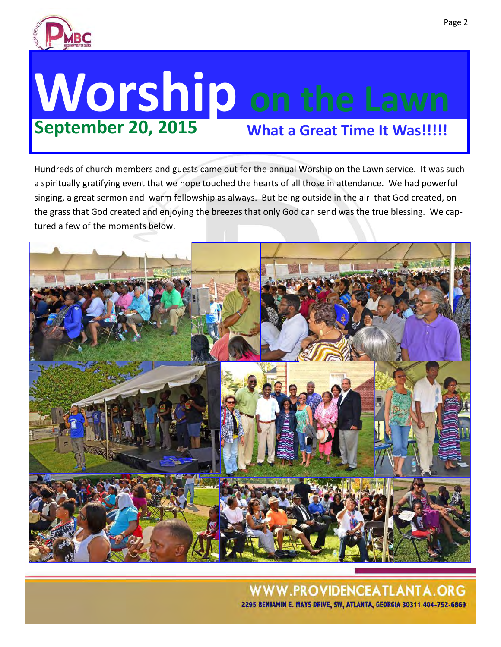

# **Worship on the Lawn September 20, 2015 What a Great Time It Was!!!!!**

Hundreds of church members and guests came out for the annual Worship on the Lawn service. It was such a spiritually gratifying event that we hope touched the hearts of all those in attendance. We had powerful singing, a great sermon and warm fellowship as always. But being outside in the air that God created, on the grass that God created and enjoying the breezes that only God can send was the true blessing. We captured a few of the moments below.

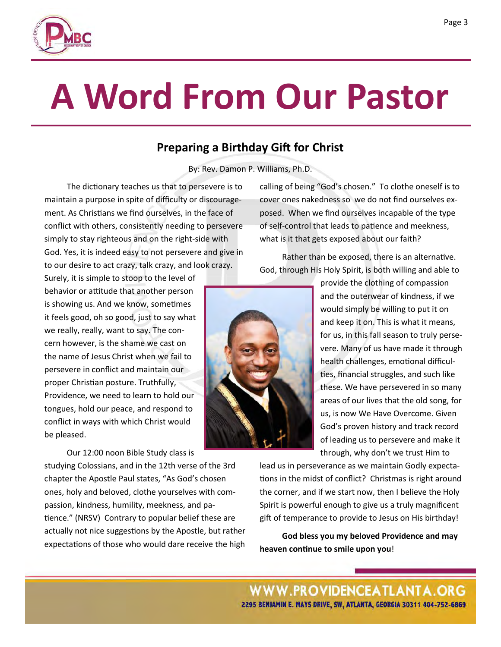# **A Word From Our Pastor**

### **Preparing a Birthday Gift for Christ**

By: Rev. Damon P. Williams, Ph.D.

The dictionary teaches us that to persevere is to maintain a purpose in spite of difficulty or discouragement. As Christians we find ourselves, in the face of conflict with others, consistently needing to persevere simply to stay righteous and on the right-side with God. Yes, it is indeed easy to not persevere and give in to our desire to act crazy, talk crazy, and look crazy.

Surely, it is simple to stoop to the level of behavior or attitude that another person is showing us. And we know, sometimes it feels good, oh so good, just to say what we really, really, want to say. The concern however, is the shame we cast on the name of Jesus Christ when we fail to persevere in conflict and maintain our proper Christian posture. Truthfully, Providence, we need to learn to hold our tongues, hold our peace, and respond to conflict in ways with which Christ would be pleased.

Our 12:00 noon Bible Study class is studying Colossians, and in the 12th verse of the 3rd chapter the Apostle Paul states, "As God's chosen ones, holy and beloved, clothe yourselves with compassion, kindness, humility, meekness, and patience." (NRSV) Contrary to popular belief these are actually not nice suggestions by the Apostle, but rather expectations of those who would dare receive the high

calling of being "God's chosen." To clothe oneself is to cover ones nakedness so we do not find ourselves exposed. When we find ourselves incapable of the type of self-control that leads to patience and meekness, what is it that gets exposed about our faith?

Rather than be exposed, there is an alternative. God, through His Holy Spirit, is both willing and able to

> provide the clothing of compassion and the outerwear of kindness, if we would simply be willing to put it on and keep it on. This is what it means, for us, in this fall season to truly persevere. Many of us have made it through health challenges, emotional difficulties, financial struggles, and such like these. We have persevered in so many areas of our lives that the old song, for us, is now We Have Overcome. Given God's proven history and track record of leading us to persevere and make it through, why don't we trust Him to

lead us in perseverance as we maintain Godly expectations in the midst of conflict? Christmas is right around the corner, and if we start now, then I believe the Holy Spirit is powerful enough to give us a truly magnificent gift of temperance to provide to Jesus on His birthday!

**God bless you my beloved Providence and may heaven continue to smile upon you**!



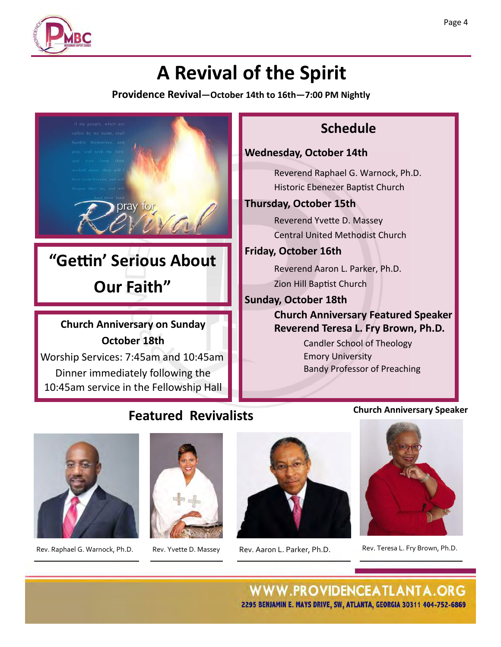

# **A Revival of the Spirit**

**Providence Revival—October 14th to 16th—7:00 PM Nightly**











Rev. Raphael G. Warnock, Ph.D. Rev. Yvette D. Massey Rev. Aaron L. Parker, Ph.D. Rev. Teresa L. Fry Brown, Ph.D.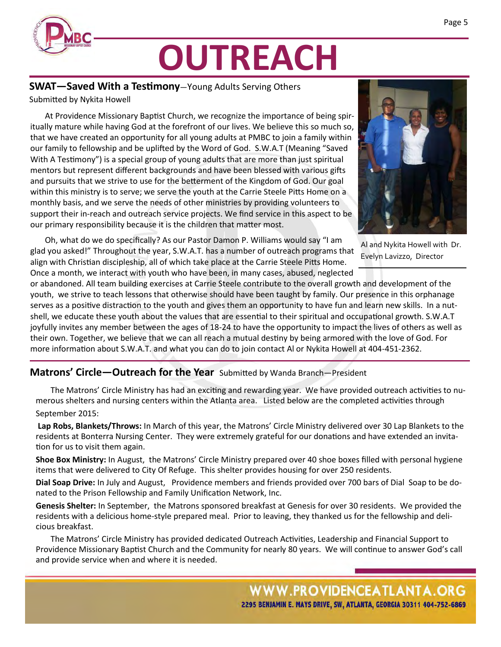

# **OUTREACH**

### **SWAT—Saved With a Testimony**—Young Adults Serving Others

Submitted by Nykita Howell

At Providence Missionary Baptist Church, we recognize the importance of being spiritually mature while having God at the forefront of our lives. We believe this so much so, that we have created an opportunity for all young adults at PMBC to join a family within our family to fellowship and be uplifted by the Word of God. S.W.A.T (Meaning "Saved With A Testimony") is a special group of young adults that are more than just spiritual mentors but represent different backgrounds and have been blessed with various gifts and pursuits that we strive to use for the betterment of the Kingdom of God. Our goal within this ministry is to serve; we serve the youth at the Carrie Steele Pitts Home on a monthly basis, and we serve the needs of other ministries by providing volunteers to support their in-reach and outreach service projects. We find service in this aspect to be our primary responsibility because it is the children that matter most.



Oh, what do we do specifically? As our Pastor Damon P. Williams would say "I am glad you asked!" Throughout the year, S.W.A.T. has a number of outreach programs that align with Christian discipleship, all of which take place at the Carrie Steele Pitts Home. Once a month, we interact with youth who have been, in many cases, abused, neglected Al and Nykita Howell with Dr. Evelyn Lavizzo, Director

or abandoned. All team building exercises at Carrie Steele contribute to the overall growth and development of the youth, we strive to teach lessons that otherwise should have been taught by family. Our presence in this orphanage serves as a positive distraction to the youth and gives them an opportunity to have fun and learn new skills. In a nutshell, we educate these youth about the values that are essential to their spiritual and occupational growth. S.W.A.T joyfully invites any member between the ages of 18-24 to have the opportunity to impact the lives of others as well as their own. Together, we believe that we can all reach a mutual destiny by being armored with the love of God. For more information about S.W.A.T. and what you can do to join contact Al or Nykita Howell at 404-451-2362.

#### **Matrons' Circle—Outreach for the Year** Submitted by Wanda Branch—President

The Matrons' Circle Ministry has had an exciting and rewarding year. We have provided outreach activities to numerous shelters and nursing centers within the Atlanta area. Listed below are the completed activities through September 2015:

**Lap Robs, Blankets/Throws:** In March of this year, the Matrons' Circle Ministry delivered over 30 Lap Blankets to the residents at Bonterra Nursing Center. They were extremely grateful for our donations and have extended an invitation for us to visit them again.

**Shoe Box Ministry:** In August, the Matrons' Circle Ministry prepared over 40 shoe boxes filled with personal hygiene items that were delivered to City Of Refuge. This shelter provides housing for over 250 residents.

**Dial Soap Drive:** In July and August, Providence members and friends provided over 700 bars of Dial Soap to be donated to the Prison Fellowship and Family Unification Network, Inc.

**Genesis Shelter:** In September, the Matrons sponsored breakfast at Genesis for over 30 residents. We provided the residents with a delicious home-style prepared meal. Prior to leaving, they thanked us for the fellowship and delicious breakfast.

The Matrons' Circle Ministry has provided dedicated Outreach Activities, Leadership and Financial Support to Providence Missionary Baptist Church and the Community for nearly 80 years. We will continue to answer God's call and provide service when and where it is needed.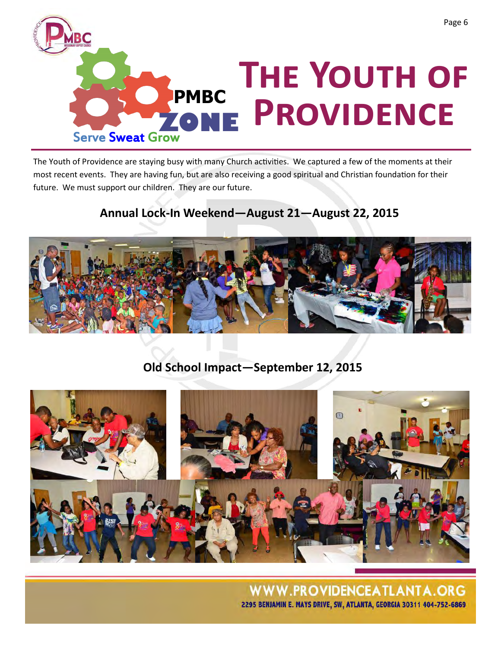

The Youth of Providence are staying busy with many Church activities. We captured a few of the moments at their most recent events. They are having fun, but are also receiving a good spiritual and Christian foundation for their future. We must support our children. They are our future.

### **Annual Lock-In Weekend—August 21—August 22, 2015**



**Old School Impact—September 12, 2015**

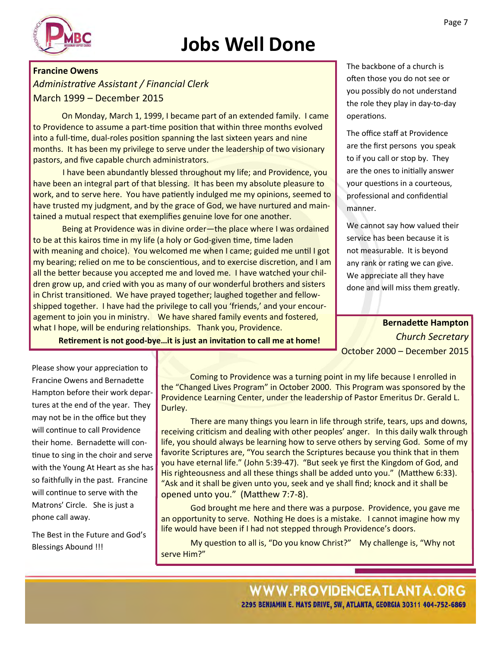# **Jobs Well Done**



#### **Francine Owens**

*Administrative Assistant / Financial Clerk* March 1999 – December 2015

On Monday, March 1, 1999, I became part of an extended family. I came to Providence to assume a part-time position that within three months evolved into a full-time, dual-roles position spanning the last sixteen years and nine months. It has been my privilege to serve under the leadership of two visionary pastors, and five capable church administrators.

I have been abundantly blessed throughout my life; and Providence, you have been an integral part of that blessing. It has been my absolute pleasure to work, and to serve here. You have patiently indulged me my opinions, seemed to have trusted my judgment, and by the grace of God, we have nurtured and maintained a mutual respect that exemplifies genuine love for one another.

Being at Providence was in divine order—the place where I was ordained to be at this kairos time in my life (a holy or God-given time, time laden with meaning and choice). You welcomed me when I came; guided me until I got my bearing; relied on me to be conscientious, and to exercise discretion, and I am all the better because you accepted me and loved me. I have watched your children grow up, and cried with you as many of our wonderful brothers and sisters in Christ transitioned. We have prayed together; laughed together and fellowshipped together. I have had the privilege to call you 'friends,' and your encouragement to join you in ministry. We have shared family events and fostered, what I hope, will be enduring relationships. Thank you, Providence.

The backbone of a church is often those you do not see or you possibly do not understand the role they play in day-to-day operations.

The office staff at Providence are the first persons you speak to if you call or stop by. They are the ones to initially answer your questions in a courteous, professional and confidential manner.

We cannot say how valued their service has been because it is not measurable. It is beyond any rank or rating we can give. We appreciate all they have done and will miss them greatly.

**Bernadette Hampton** *Church Secretary* October 2000 – December 2015

**Retirement is not good-bye…it is just an invitation to call me at home!**

Please show your appreciation to Francine Owens and Bernadette Hampton before their work departures at the end of the year. They may not be in the office but they will continue to call Providence their home. Bernadette will continue to sing in the choir and serve with the Young At Heart as she has so faithfully in the past. Francine will continue to serve with the Matrons' Circle. She is just a phone call away.

The Best in the Future and God's Blessings Abound !!!

Coming to Providence was a turning point in my life because I enrolled in the "Changed Lives Program" in October 2000. This Program was sponsored by the Providence Learning Center, under the leadership of Pastor Emeritus Dr. Gerald L. Durley.

 There are many things you learn in life through strife, tears, ups and downs, receiving criticism and dealing with other peoples' anger. In this daily walk through life, you should always be learning how to serve others by serving God. Some of my favorite Scriptures are, "You search the Scriptures because you think that in them you have eternal life." (John 5:39-47). "But seek ye first the Kingdom of God, and His righteousness and all these things shall be added unto you." (Matthew 6:33). "Ask and it shall be given unto you, seek and ye shall find; knock and it shall be opened unto you." (Matthew 7:7-8).

God brought me here and there was a purpose. Providence, you gave me an opportunity to serve. Nothing He does is a mistake. I cannot imagine how my life would have been if I had not stepped through Providence's doors.

My question to all is, "Do you know Christ?" My challenge is, "Why not serve Him?"